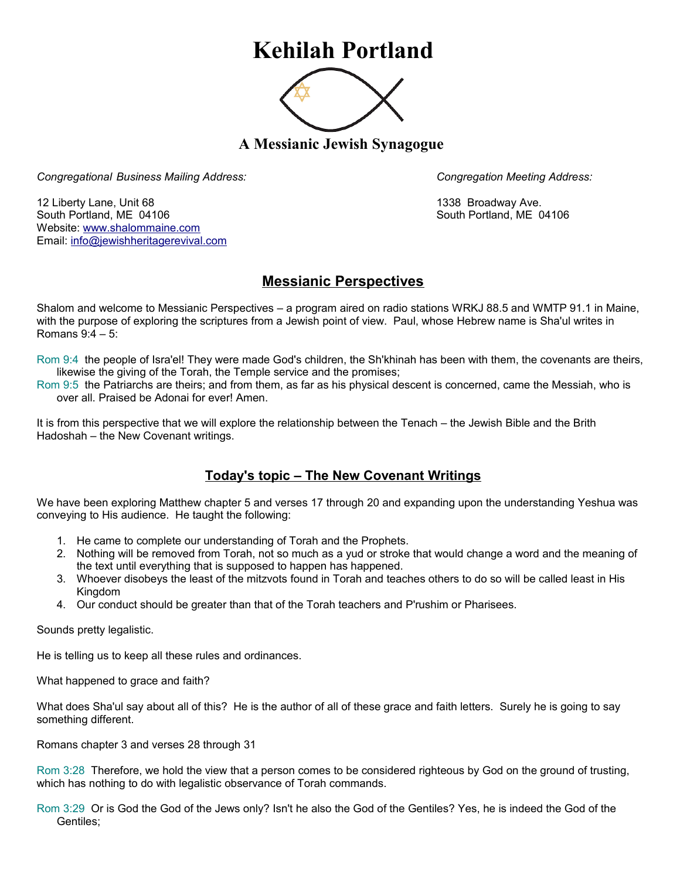## **Kehilah Portland**



**A Messianic Jewish Synagogue** 

*Congregational Business Mailing Address: Congregation Meeting Address:*

12 Liberty Lane, Unit 68 1338 Broadway Ave. South Portland, ME 04106 South Portland, ME 04106 Website: [www.shalommaine.com](http://www.shalommaine.com/) Email: [info@jewishheritagerevival.com](mailto:info@jewishheritagerevival.com) 

## **Messianic Perspectives**

Shalom and welcome to Messianic Perspectives – a program aired on radio stations WRKJ 88.5 and WMTP 91.1 in Maine, with the purpose of exploring the scriptures from a Jewish point of view. Paul, whose Hebrew name is Sha'ul writes in Romans 9:4 – 5:

Rom 9:4 the people of Isra'el! They were made God's children, the Sh'khinah has been with them, the covenants are theirs, likewise the giving of the Torah, the Temple service and the promises;

Rom 9:5 the Patriarchs are theirs; and from them, as far as his physical descent is concerned, came the Messiah, who is over all. Praised be Adonai for ever! Amen.

It is from this perspective that we will explore the relationship between the Tenach – the Jewish Bible and the Brith Hadoshah – the New Covenant writings.

## **Today's topic – The New Covenant Writings**

We have been exploring Matthew chapter 5 and verses 17 through 20 and expanding upon the understanding Yeshua was conveying to His audience. He taught the following:

- 1. He came to complete our understanding of Torah and the Prophets.
- 2. Nothing will be removed from Torah, not so much as a yud or stroke that would change a word and the meaning of the text until everything that is supposed to happen has happened.
- 3. Whoever disobeys the least of the mitzvots found in Torah and teaches others to do so will be called least in His Kingdom
- 4. Our conduct should be greater than that of the Torah teachers and P'rushim or Pharisees.

Sounds pretty legalistic.

He is telling us to keep all these rules and ordinances.

What happened to grace and faith?

What does Sha'ul say about all of this? He is the author of all of these grace and faith letters. Surely he is going to say something different.

Romans chapter 3 and verses 28 through 31

Rom 3:28 Therefore, we hold the view that a person comes to be considered righteous by God on the ground of trusting, which has nothing to do with legalistic observance of Torah commands.

Rom 3:29 Or is God the God of the Jews only? Isn't he also the God of the Gentiles? Yes, he is indeed the God of the Gentiles;